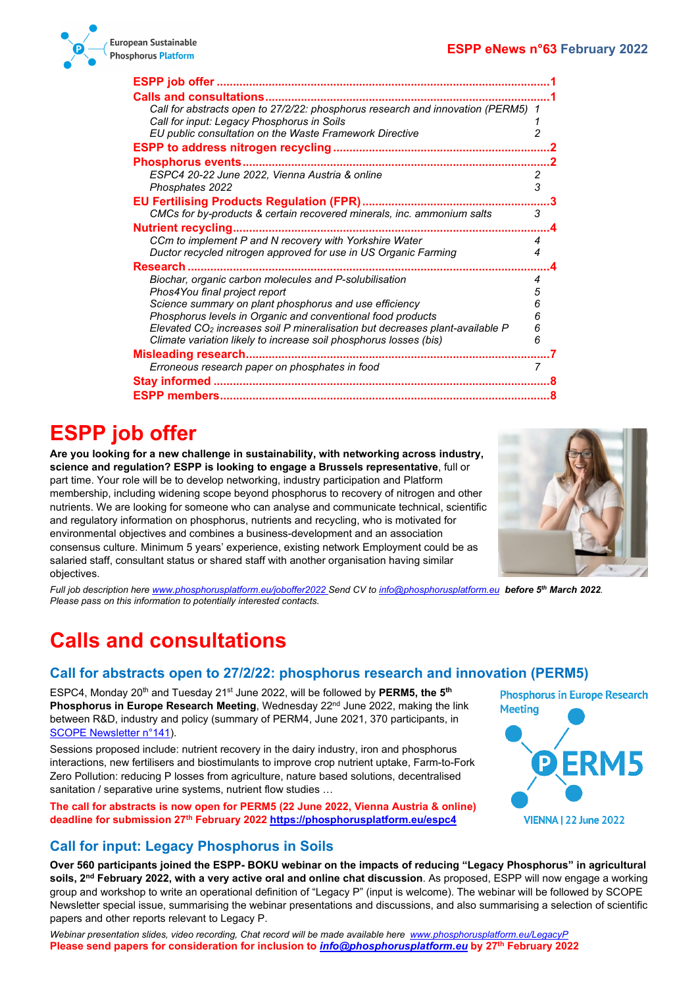

| ESPP job offer                                                                 |   |  |
|--------------------------------------------------------------------------------|---|--|
| <b>Calls and consultations</b>                                                 |   |  |
| Call for abstracts open to 27/2/22: phosphorus research and innovation (PERM5) | 1 |  |
| Call for input: Legacy Phosphorus in Soils                                     |   |  |
| EU public consultation on the Waste Framework Directive                        | 2 |  |
|                                                                                |   |  |
| <b>Phosphorus events</b>                                                       |   |  |
| ESPC4 20-22 June 2022, Vienna Austria & online                                 | 2 |  |
| Phosphates 2022                                                                | 3 |  |
| <b>EU Fertilising Products Regulation (FPR)</b>                                |   |  |
| CMCs for by-products & certain recovered minerals, inc. ammonium salts         | 3 |  |
| <b>Nutrient recycling.</b>                                                     |   |  |
| CCm to implement P and N recovery with Yorkshire Water                         | 4 |  |
| Ductor recycled nitrogen approved for use in US Organic Farming                | 4 |  |
| Research.                                                                      |   |  |
| Biochar, organic carbon molecules and P-solubilisation                         | 4 |  |
| Phos4You final project report                                                  | 5 |  |
| Science summary on plant phosphorus and use efficiency                         | 6 |  |
| Phosphorus levels in Organic and conventional food products                    | 6 |  |
| Elevated $CO2$ increases soil P mineralisation but decreases plant-available P | 6 |  |
| Climate variation likely to increase soil phosphorus losses (bis)              | 6 |  |
| <b>Misleading research</b>                                                     |   |  |
| Erroneous research paper on phosphates in food                                 | 7 |  |
|                                                                                |   |  |
|                                                                                |   |  |
|                                                                                |   |  |

## <span id="page-0-0"></span>**ESPP job offer**

**Are you looking for a new challenge in sustainability, with networking across industry, science and regulation? ESPP is looking to engage a Brussels representative**, full or part time. Your role will be to develop networking, industry participation and Platform membership, including widening scope beyond phosphorus to recovery of nitrogen and other nutrients. We are looking for someone who can analyse and communicate technical, scientific and regulatory information on phosphorus, nutrients and recycling, who is motivated for environmental objectives and combines a business-development and an association consensus culture. Minimum 5 years' experience, existing network Employment could be as salaried staff, consultant status or shared staff with another organisation having similar objectives.



*Full job description her[e www.phosphorusplatform.eu/joboffer2022](http://www.phosphorusplatform.eu/joboffer2022) Send CV t[o info@phosphorusplatform.eu](mailto:info@phosphorusplatform.eu) before 5th March 2022. Please pass on this information to potentially interested contacts.*

# <span id="page-0-1"></span>**Calls and consultations**

#### <span id="page-0-2"></span>**Call for abstracts open to 27/2/22: phosphorus research and innovation (PERM5)**

ESPC4, Monday 20th and Tuesday 21st June 2022, will be followed by **PERM5, the 5th Phosphorus in Europe Research Meeting, Wednesday 22<sup>nd</sup> June 2022, making the link** between R&D, industry and policy (summary of PERM4, June 2021, 370 participants, in [SCOPE Newsletter n°141\)](http://www.phosphorusplatform.eu/Scope141).

Sessions proposed include: nutrient recovery in the dairy industry, iron and phosphorus interactions, new fertilisers and biostimulants to improve crop nutrient uptake, Farm-to-Fork Zero Pollution: reducing P losses from agriculture, nature based solutions, decentralised sanitation / separative urine systems, nutrient flow studies ...

**The call for abstracts is now open for PERM5 (22 June 2022, Vienna Austria & online) deadline for submission 27th February 2022 <https://phosphorusplatform.eu/espc4>**



### <span id="page-0-3"></span>**Call for input: Legacy Phosphorus in Soils**

**Over 560 participants joined the ESPP- BOKU webinar on the impacts of reducing "Legacy Phosphorus" in agricultural soils, 2nd February 2022, with a very active oral and online chat discussion**. As proposed, ESPP will now engage a working group and workshop to write an operational definition of "Legacy P" (input is welcome). The webinar will be followed by SCOPE Newsletter special issue, summarising the webinar presentations and discussions, and also summarising a selection of scientific papers and other reports relevant to Legacy P.

*Webinar presentation slides, video recording, Chat record will be made available here [www.phosphorusplatform.eu/LegacyP](http://www.phosphorusplatform.eu/LegacyP)* **Please send papers for consideration for inclusion to** *[info@phosphorusplatform.eu](mailto:info@phosphorusplatform.eu)* **by 27th February 2022**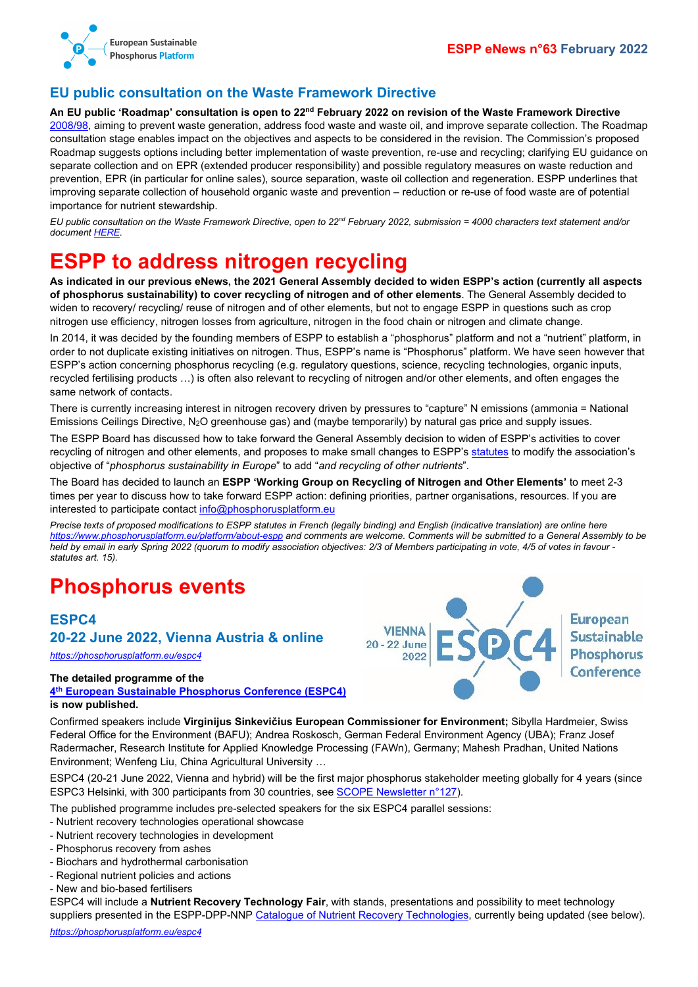

#### <span id="page-1-0"></span>**EU public consultation on the Waste Framework Directive**

**An EU public 'Roadmap' consultation is open to 22nd February 2022 on revision of the Waste Framework Directive** [2008/98,](https://ec.europa.eu/environment/topics/waste-and-recycling/waste-framework-directive_en) aiming to prevent waste generation, address food waste and waste oil, and improve separate collection. The Roadmap consultation stage enables impact on the objectives and aspects to be considered in the revision. The Commission's proposed Roadmap suggests options including better implementation of waste prevention, re-use and recycling; clarifying EU guidance on separate collection and on EPR (extended producer responsibility) and possible regulatory measures on waste reduction and prevention, EPR (in particular for online sales), source separation, waste oil collection and regeneration. ESPP underlines that improving separate collection of household organic waste and prevention – reduction or re-use of food waste are of potential importance for nutrient stewardship.

*EU public consultation on the Waste Framework Directive, open to 22nd February 2022, submission = 4000 characters text statement and/or document [HERE.](https://ec.europa.eu/info/law/better-regulation/have-your-say/initiatives/13225-Environmental-impact-of-waste-management-revision-of-EU-waste-framework_en)*

### <span id="page-1-1"></span>**ESPP to address nitrogen recycling**

**As indicated in our previous eNews, the 2021 General Assembly decided to widen ESPP's action (currently all aspects of phosphorus sustainability) to cover recycling of nitrogen and of other elements**. The General Assembly decided to widen to recovery/ recycling/ reuse of nitrogen and of other elements, but not to engage ESPP in questions such as crop nitrogen use efficiency, nitrogen losses from agriculture, nitrogen in the food chain or nitrogen and climate change.

In 2014, it was decided by the founding members of ESPP to establish a "phosphorus" platform and not a "nutrient" platform, in order to not duplicate existing initiatives on nitrogen. Thus, ESPP's name is "Phosphorus" platform. We have seen however that ESPP's action concerning phosphorus recycling (e.g. regulatory questions, science, recycling technologies, organic inputs, recycled fertilising products …) is often also relevant to recycling of nitrogen and/or other elements, and often engages the same network of contacts.

There is currently increasing interest in nitrogen recovery driven by pressures to "capture" N emissions (ammonia = National Emissions Ceilings Directive, N2O greenhouse gas) and (maybe temporarily) by natural gas price and supply issues.

The ESPP Board has discussed how to take forward the General Assembly decision to widen of ESPP's activities to cover recycling of nitrogen and other elements, and proposes to make small changes to ESPP's [statutes](http://www.phosphorusplatform.eu/statutesENG) to modify the association's objective of "*phosphorus sustainability in Europe*" to add "*and recycling of other nutrients*".

The Board has decided to launch an **ESPP 'Working Group on Recycling of Nitrogen and Other Elements'** to meet 2-3 times per year to discuss how to take forward ESPP action: defining priorities, partner organisations, resources. If you are interested to participate contact [info@phosphorusplatform.eu](mailto:info@phosphorusplatform.eu)

*Precise texts of proposed modifications to ESPP statutes in French (legally binding) and English (indicative translation) are online here <https://www.phosphorusplatform.eu/platform/about-espp> and comments are welcome. Comments will be submitted to a General Assembly to be held by email in early Spring 2022 (quorum to modify association objectives: 2/3 of Members participating in vote, 4/5 of votes in favour statutes art. 15).*

### <span id="page-1-2"></span>**Phosphorus events**

### <span id="page-1-3"></span>**ESPC4**

#### **20-22 June 2022, Vienna Austria & online**

*<https://phosphorusplatform.eu/espc4>*

#### **The detailed programme of the**

**4th [European Sustainable Phosphorus Conference \(ESPC4\)](https://phosphorusplatform.eu/espc4) is now published.**

**European VIENNA Sustainable** 20 - 22 June **Phosphorus** 2022 Conference

Confirmed speakers include **Virginijus Sinkevičius European Commissioner for Environment;** Sibylla Hardmeier, Swiss Federal Office for the Environment (BAFU); Andrea Roskosch, German Federal Environment Agency (UBA); Franz Josef Radermacher, Research Institute for Applied Knowledge Processing (FAWn), Germany; Mahesh Pradhan, United Nations Environment; Wenfeng Liu, China Agricultural University …

ESPC4 (20-21 June 2022, Vienna and hybrid) will be the first major phosphorus stakeholder meeting globally for 4 years (since ESPC3 Helsinki, with 300 participants from 30 countries, see [SCOPE Newsletter n°127\)](http://www.phosphorusplatform.eu/Scope127).

The published programme includes pre-selected speakers for the six ESPC4 parallel sessions:

- Nutrient recovery technologies operational showcase
- Nutrient recovery technologies in development
- Phosphorus recovery from ashes
- Biochars and hydrothermal carbonisation
- Regional nutrient policies and actions
- New and bio-based fertilisers

ESPC4 will include a **Nutrient Recovery Technology Fair**, with stands, presentations and possibility to meet technology suppliers presented in the ESPP-DPP-NNP [Catalogue of Nutrient Recovery Technologies,](http://www.phosphorusplatform.eu/p-recovery-technology-inventory) currently being updated (see below).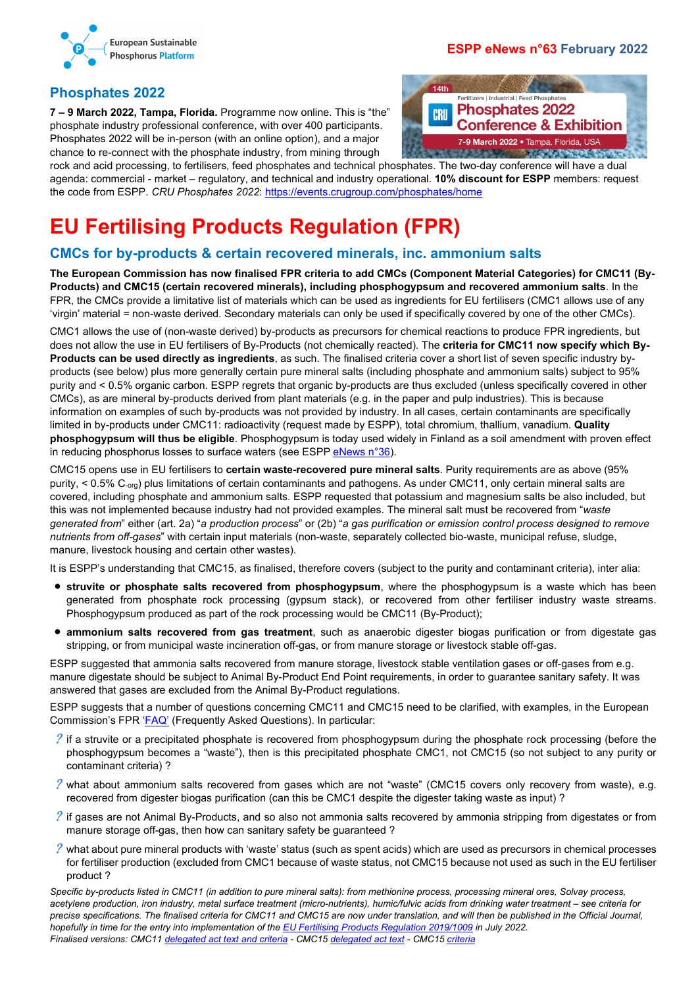

#### **ESPP eNews n°63 February 2022**

#### <span id="page-2-0"></span>**Phosphates 2022**

**7 – 9 March 2022, Tampa, Florida.** Programme now online. This is "the" phosphate industry professional conference, with over 400 participants. Phosphates 2022 will be in-person (with an online option), and a major chance to re-connect with the phosphate industry, from mining through



rock and acid processing, to fertilisers, feed phosphates and technical phosphates. The two-day conference will have a dual agenda: commercial - market – regulatory, and technical and industry operational. **10% discount for ESPP** members: request the code from ESPP. *CRU Phosphates 2022*: <https://events.crugroup.com/phosphates/home>

# <span id="page-2-1"></span>**EU Fertilising Products Regulation (FPR)**

#### <span id="page-2-2"></span>**CMCs for by-products & certain recovered minerals, inc. ammonium salts**

**The European Commission has now finalised FPR criteria to add CMCs (Component Material Categories) for CMC11 (By-Products) and CMC15 (certain recovered minerals), including phosphogypsum and recovered ammonium salts**. In the FPR, the CMCs provide a limitative list of materials which can be used as ingredients for EU fertilisers (CMC1 allows use of any 'virgin' material = non-waste derived. Secondary materials can only be used if specifically covered by one of the other CMCs).

CMC1 allows the use of (non-waste derived) by-products as precursors for chemical reactions to produce FPR ingredients, but does not allow the use in EU fertilisers of By-Products (not chemically reacted). The **criteria for CMC11 now specify which By-Products can be used directly as ingredients**, as such. The finalised criteria cover a short list of seven specific industry byproducts (see below) plus more generally certain pure mineral salts (including phosphate and ammonium salts) subject to 95% purity and < 0.5% organic carbon. ESPP regrets that organic by-products are thus excluded (unless specifically covered in other CMCs), as are mineral by-products derived from plant materials (e.g. in the paper and pulp industries). This is because information on examples of such by-products was not provided by industry. In all cases, certain contaminants are specifically limited in by-products under CMC11: radioactivity (request made by ESPP), total chromium, thallium, vanadium. **Quality phosphogypsum will thus be eligible**. Phosphogypsum is today used widely in Finland as a soil amendment with proven effect in reducing phosphorus losses to surface waters (see ESPP [eNews n°36\)](http://www.phosphorusplatform.eu/eNews036).

CMC15 opens use in EU fertilisers to **certain waste-recovered pure mineral salts**. Purity requirements are as above (95% purity, < 0.5% C<sub>-org</sub>) plus limitations of certain contaminants and pathogens. As under CMC11, only certain mineral salts are covered, including phosphate and ammonium salts. ESPP requested that potassium and magnesium salts be also included, but this was not implemented because industry had not provided examples. The mineral salt must be recovered from "*waste generated from*" either (art. 2a) "*a production process*" or (2b) "*a gas purification or emission control process designed to remove nutrients from off-gases*" with certain input materials (non-waste, separately collected bio-waste, municipal refuse, sludge, manure, livestock housing and certain other wastes).

It is ESPP's understanding that CMC15, as finalised, therefore covers (subject to the purity and contaminant criteria), inter alia:

- **struvite or phosphate salts recovered from phosphogypsum**, where the phosphogypsum is a waste which has been generated from phosphate rock processing (gypsum stack), or recovered from other fertiliser industry waste streams. Phosphogypsum produced as part of the rock processing would be CMC11 (By-Product);
- **ammonium salts recovered from gas treatment**, such as anaerobic digester biogas purification or from digestate gas stripping, or from municipal waste incineration off-gas, or from manure storage or livestock stable off-gas.

ESPP suggested that ammonia salts recovered from manure storage, livestock stable ventilation gases or off-gases from e.g. manure digestate should be subject to Animal By-Product End Point requirements, in order to guarantee sanitary safety. It was answered that gases are excluded from the Animal By-Product regulations.

ESPP suggests that a number of questions concerning CMC11 and CMC15 need to be clarified, with examples, in the European Commission's FPR ['FAQ'](https://ec.europa.eu/docsroom/documents/48214) (Frequently Asked Questions). In particular:

- ? If a struvite or a precipitated phosphate is recovered from phosphogypsum during the phosphate rock processing (before the phosphogypsum becomes a "waste"), then is this precipitated phosphate CMC1, not CMC15 (so not subject to any purity or contaminant criteria) ?
- ? what about ammonium salts recovered from gases which are not "waste" (CMC15 covers only recovery from waste), e.g. recovered from digester biogas purification (can this be CMC1 despite the digester taking waste as input) ?
- ? if gases are not Animal By-Products, and so also not ammonia salts recovered by ammonia stripping from digestates or from manure storage off-gas, then how can sanitary safety be guaranteed ?
- $\ell$  what about pure mineral products with 'waste' status (such as spent acids) which are used as precursors in chemical processes for fertiliser production (excluded from CMC1 because of waste status, not CMC15 because not used as such in the EU fertiliser product ?

*Specific by-products listed in CMC11 (in addition to pure mineral salts): from methionine process, processing mineral ores, Solvay process, acetylene production, iron industry, metal surface treatment (micro-nutrients), humic/fulvic acids from drinking water treatment – see criteria for precise specifications. The finalised criteria for CMC11 and CMC15 are now under translation, and will then be published in the Official Journal, hopefully in time for the entry into implementation of th[e EU Fertilising Products Regulation 2019/1009](https://eur-lex.europa.eu/eli/reg/2019/1009) in July 2022. Finalised versions: CMC1[1 delegated act text and criteria](https://circabc.europa.eu/ui/group/36ec94c7-575b-44dc-a6e9-4ace02907f2f/library/43660307-bac0-4e17-ba79-85b2974f99c5/details) - CMC15 [delegated act text](https://circabc.europa.eu/ui/group/36ec94c7-575b-44dc-a6e9-4ace02907f2f/library/175c2932-8073-4e3e-8551-23c756addb58/details) - CMC1[5 criteria](https://circabc.europa.eu/ui/group/36ec94c7-575b-44dc-a6e9-4ace02907f2f/library/327caea7-5c38-4b38-b318-34d1dd697ec0/details)*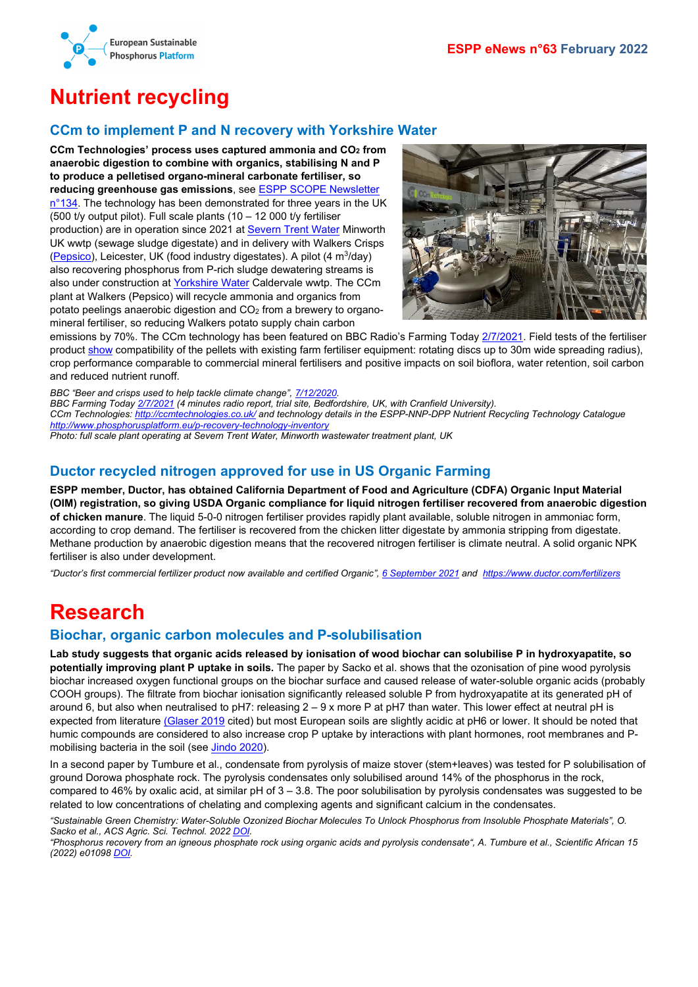

# <span id="page-3-0"></span>**Nutrient recycling**

#### <span id="page-3-1"></span>**CCm to implement P and N recovery with Yorkshire Water**

**CCm Technologies' process uses captured ammonia and CO2 from anaerobic digestion to combine with organics, stabilising N and P to produce a pelletised organo-mineral carbonate fertiliser, so reducing greenhouse gas emissions**, se[e ESPP SCOPE Newsletter](http://www.phosphorusplatform.eu/Scope134)   $n^{\circ}$ 134. The technology has been demonstrated for three years in the UK (500 t/y output pilot). Full scale plants (10 – 12 000 t/y fertiliser production) are in operation since 2021 at [Severn Trent Water](https://bioenergyinternational.com/biogas/severn-trent-and-ccm-technologies-awarded-innovation-grant-to-treat-wastewater) Minworth UK wwtp (sewage sludge digestate) and in delivery with Walkers Crisps [\(Pepsico\)](https://www.bbc.com/news/science-environment-55207597), Leicester, UK (food industry digestates). A pilot (4 m3/day) also recovering phosphorus from P-rich sludge dewatering streams is also under construction at [Yorkshire Water](https://www.yorkshirewater.com/news-media/news-articles/2020/wastewater-treatment-world-first-in-yorkshire/) Caldervale wwtp. The CCm plant at Walkers (Pepsico) will recycle ammonia and organics from potato peelings anaerobic digestion and CO2 from a brewery to organomineral fertiliser, so reducing Walkers potato supply chain carbon



emissions by 70%. The CCm technology has been featured on BBC Radio's Farming Today [2/7/2021.](https://ccmtechnologies.co.uk/videos-%26-audio) Field tests of the fertiliser product [show](https://doi.org/10.1016/j.jcou.2019.03.010) compatibility of the pellets with existing farm fertiliser equipment: rotating discs up to 30m wide spreading radius), crop performance comparable to commercial mineral fertilisers and positive impacts on soil bioflora, water retention, soil carbon and reduced nutrient runoff.

*BBC "Beer and crisps used to help tackle climate change"[, 7/12/2020.](https://www.bbc.com/news/science-environment-55207597)*

*BBC Farming Toda[y 2/7/2021](https://ccmtechnologies.co.uk/videos-%26-audio) (4 minutes radio report, trial site, Bedfordshire, UK, with Cranfield University). CCm Technologies:<http://ccmtechnologies.co.uk/> and technology details in the ESPP-NNP-DPP Nutrient Recycling Technology Catalogue <http://www.phosphorusplatform.eu/p-recovery-technology-inventory> Photo: full scale plant operating at Severn Trent Water, Minworth wastewater treatment plant, UK*

#### <span id="page-3-2"></span>**Ductor recycled nitrogen approved for use in US Organic Farming**

**ESPP member, Ductor, has obtained California Department of Food and Agriculture (CDFA) Organic Input Material (OIM) registration, so giving USDA Organic compliance for liquid nitrogen fertiliser recovered from anaerobic digestion of chicken manure**. The liquid 5-0-0 nitrogen fertiliser provides rapidly plant available, soluble nitrogen in ammoniac form, according to crop demand. The fertiliser is recovered from the chicken litter digestate by ammonia stripping from digestate. Methane production by anaerobic digestion means that the recovered nitrogen fertiliser is climate neutral. A solid organic NPK fertiliser is also under development.

*"Ductor's first commercial fertilizer product now available and certified Organic", [6 September 2021](https://eur01.safelinks.protection.outlook.com/?url=https%3A%2F%2Fwww.ductor.com%2Fnews%2Fductors-first-commercial-fertilizer-product-now-available-and-certified-organic&data=04%7C01%7Cleonie.boller%40ductor.com%7Cf6fc4d1b54b344eb6af408d9de54e4af%7C9a1d81e85f7e49c8999ce4adb45ed791%7C1%7C0%7C637785279044992321%7CUnknown%7CTWFpbGZsb3d8eyJWIjoiMC4wLjAwMDAiLCJQIjoiV2luMzIiLCJBTiI6Ik1haWwiLCJXVCI6Mn0%3D%7C3000&sdata=a1qZlNY0osJPW1ZhuKnOVMZcjlb55ULzVKXv%2BiAeqoM%3D&reserved=0) and [https://www.ductor.com/fertilizers](https://eur01.safelinks.protection.outlook.com/?url=https%3A%2F%2Fwww.ductor.com%2Ffertilizers&data=04%7C01%7Cleonie.boller%40ductor.com%7Cf6fc4d1b54b344eb6af408d9de54e4af%7C9a1d81e85f7e49c8999ce4adb45ed791%7C1%7C0%7C637785279045148572%7CUnknown%7CTWFpbGZsb3d8eyJWIjoiMC4wLjAwMDAiLCJQIjoiV2luMzIiLCJBTiI6Ik1haWwiLCJXVCI6Mn0%3D%7C3000&sdata=w0H0yeIw4W%2Ftr%2F2iL56B%2B0G3H1YDRN1OyRM%2FOPOZVNI%3D&reserved=0)*

### <span id="page-3-3"></span>**Research**

#### <span id="page-3-4"></span>**Biochar, organic carbon molecules and P-solubilisation**

**Lab study suggests that organic acids released by ionisation of wood biochar can solubilise P in hydroxyapatite, so potentially improving plant P uptake in soils.** The paper by Sacko et al. shows that the ozonisation of pine wood pyrolysis biochar increased oxygen functional groups on the biochar surface and caused release of water-soluble organic acids (probably COOH groups). The filtrate from biochar ionisation significantly released soluble P from hydroxyapatite at its generated pH of around 6, but also when neutralised to pH7: releasing  $2 - 9x$  more P at pH7 than water. This lower effect at neutral pH is expected from literature [\(Glaser 2019](https://doi.org/10.1038/s41598-019-45693-z) cited) but most European soils are slightly acidic at pH6 or lower. It should be noted that humic compounds are considered to also increase crop P uptake by interactions with plant hormones, root membranes and Pmobilising bacteria in the soil (see [Jindo 2020\)](https://doi.org/10.3390/agronomy10050640).

In a second paper by Tumbure et al., condensate from pyrolysis of maize stover (stem+leaves) was tested for P solubilisation of ground Dorowa phosphate rock. The pyrolysis condensates only solubilised around 14% of the phosphorus in the rock, compared to 46% by oxalic acid, at similar pH of 3 – 3.8. The poor solubilisation by pyrolysis condensates was suggested to be related to low concentrations of chelating and complexing agents and significant calcium in the condensates.

*"Sustainable Green Chemistry: Water-Soluble Ozonized Biochar Molecules To Unlock Phosphorus from Insoluble Phosphate Materials", O. Sacko et al., ACS Agric. Sci. Technol. 202[2 DOI.](https://doi.org/10.1021/acsagscitech.1c00160)*

*"Phosphorus recovery from an igneous phosphate rock using organic acids and pyrolysis condensate", A. Tumbure et al., Scientific African 15 (2022) e01098 [DOI.](https://doi.org/10.1016/j.sciaf.2022.e01098)*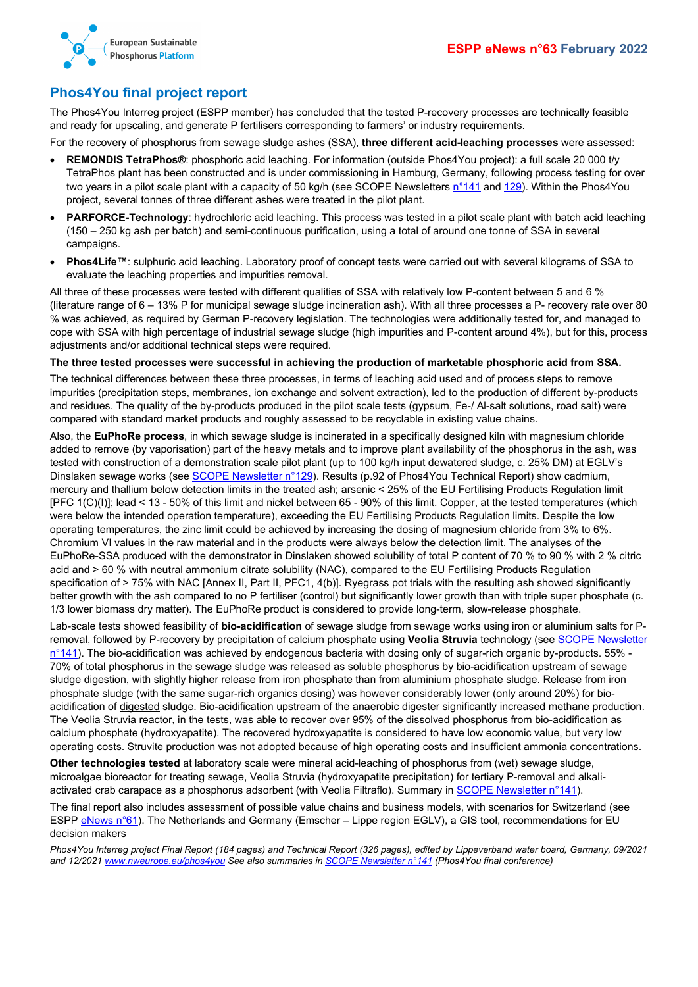



### <span id="page-4-0"></span>**Phos4You final project report**

The Phos4You Interreg project (ESPP member) has concluded that the tested P-recovery processes are technically feasible and ready for upscaling, and generate P fertilisers corresponding to farmers' or industry requirements.

For the recovery of phosphorus from sewage sludge ashes (SSA), **three different acid-leaching processes** were assessed:

- **REMONDIS TetraPhos®**: phosphoric acid leaching. For information (outside Phos4You project): a full scale 20 000 t/y TetraPhos plant has been constructed and is under commissioning in Hamburg, Germany, following process testing for over two years in a pilot scale plant with a capacity of 50 kg/h (see SCOPE Newsletters [n°141](http://www.phosphorusplatform.eu/Scope141) and [129\)](http://www.phosphorusplatform.eu/Scope129). Within the Phos4You project, several tonnes of three different ashes were treated in the pilot plant.
- **PARFORCE-Technology**: hydrochloric acid leaching. This process was tested in a pilot scale plant with batch acid leaching (150 – 250 kg ash per batch) and semi-continuous purification, using a total of around one tonne of SSA in several campaigns.
- **Phos4Life™:** sulphuric acid leaching. Laboratory proof of concept tests were carried out with several kilograms of SSA to evaluate the leaching properties and impurities removal.

All three of these processes were tested with different qualities of SSA with relatively low P-content between 5 and 6 % (literature range of 6 – 13% P for municipal sewage sludge incineration ash). With all three processes a P- recovery rate over 80 % was achieved, as required by German P-recovery legislation. The technologies were additionally tested for, and managed to cope with SSA with high percentage of industrial sewage sludge (high impurities and P-content around 4%), but for this, process adjustments and/or additional technical steps were required.

#### **The three tested processes were successful in achieving the production of marketable phosphoric acid from SSA.**

The technical differences between these three processes, in terms of leaching acid used and of process steps to remove impurities (precipitation steps, membranes, ion exchange and solvent extraction), led to the production of different by-products and residues. The quality of the by-products produced in the pilot scale tests (gypsum, Fe-/ Al-salt solutions, road salt) were compared with standard market products and roughly assessed to be recyclable in existing value chains.

Also, the **EuPhoRe process**, in which sewage sludge is incinerated in a specifically designed kiln with magnesium chloride added to remove (by vaporisation) part of the heavy metals and to improve plant availability of the phosphorus in the ash, was tested with construction of a demonstration scale pilot plant (up to 100 kg/h input dewatered sludge, c. 25% DM) at EGLV's Dinslaken sewage works (see [SCOPE Newsletter n°129\)](http://www.phosphorusplatform.eu/Scope129). Results (p.92 of Phos4You Technical Report) show cadmium, mercury and thallium below detection limits in the treated ash; arsenic < 25% of the EU Fertilising Products Regulation limit [PFC 1(C)(I)]; lead < 13 - 50% of this limit and nickel between 65 - 90% of this limit. Copper, at the tested temperatures (which were below the intended operation temperature), exceeding the EU Fertilising Products Regulation limits. Despite the low operating temperatures, the zinc limit could be achieved by increasing the dosing of magnesium chloride from 3% to 6%. Chromium VI values in the raw material and in the products were always below the detection limit. The analyses of the EuPhoRe-SSA produced with the demonstrator in Dinslaken showed solubility of total P content of 70 % to 90 % with 2 % citric acid and > 60 % with neutral ammonium citrate solubility (NAC), compared to the EU Fertilising Products Regulation specification of > 75% with NAC [Annex II, Part II, PFC1, 4(b)]. Ryegrass pot trials with the resulting ash showed significantly better growth with the ash compared to no P fertiliser (control) but significantly lower growth than with triple super phosphate (c. 1/3 lower biomass dry matter). The EuPhoRe product is considered to provide long-term, slow-release phosphate.

Lab-scale tests showed feasibility of **bio-acidification** of sewage sludge from sewage works using iron or aluminium salts for Premoval, followed by P-recovery by precipitation of calcium phosphate using **Veolia Struvia** technology (see [SCOPE Newsletter](http://www.phosphorusplatform.eu/Scope141)  [n°141\)](http://www.phosphorusplatform.eu/Scope141). The bio-acidification was achieved by endogenous bacteria with dosing only of sugar-rich organic by-products. 55% - 70% of total phosphorus in the sewage sludge was released as soluble phosphorus by bio-acidification upstream of sewage sludge digestion, with slightly higher release from iron phosphate than from aluminium phosphate sludge. Release from iron phosphate sludge (with the same sugar-rich organics dosing) was however considerably lower (only around 20%) for bioacidification of digested sludge. Bio-acidification upstream of the anaerobic digester significantly increased methane production. The Veolia Struvia reactor, in the tests, was able to recover over 95% of the dissolved phosphorus from bio-acidification as calcium phosphate (hydroxyapatite). The recovered hydroxyapatite is considered to have low economic value, but very low operating costs. Struvite production was not adopted because of high operating costs and insufficient ammonia concentrations.

**Other technologies tested** at laboratory scale were mineral acid-leaching of phosphorus from (wet) sewage sludge, microalgae bioreactor for treating sewage, Veolia Struvia (hydroxyapatite precipitation) for tertiary P-removal and alkaliactivated crab carapace as a phosphorus adsorbent (with Veolia Filtraflo). Summary in [SCOPE Newsletter n°141\)](http://www.phosphorusplatform.eu/Scope141).

The final report also includes assessment of possible value chains and business models, with scenarios for Switzerland (see ESPP [eNews n°61\)](http://www.phosphorusplatform.eu/eNews061). The Netherlands and Germany (Emscher – Lippe region EGLV), a GIS tool, recommendations for EU decision makers

*Phos4You Interreg project Final Report (184 pages) and Technical Report (326 pages), edited by Lippeverband water board, Germany, 09/2021 and 12/202[1 www.nweurope.eu/phos4you](http://www.nweurope.eu/phos4you) See also summaries i[n SCOPE Newsletter n°141](http://www.phosphorusplatform.eu/Scope141) (Phos4You final conference)*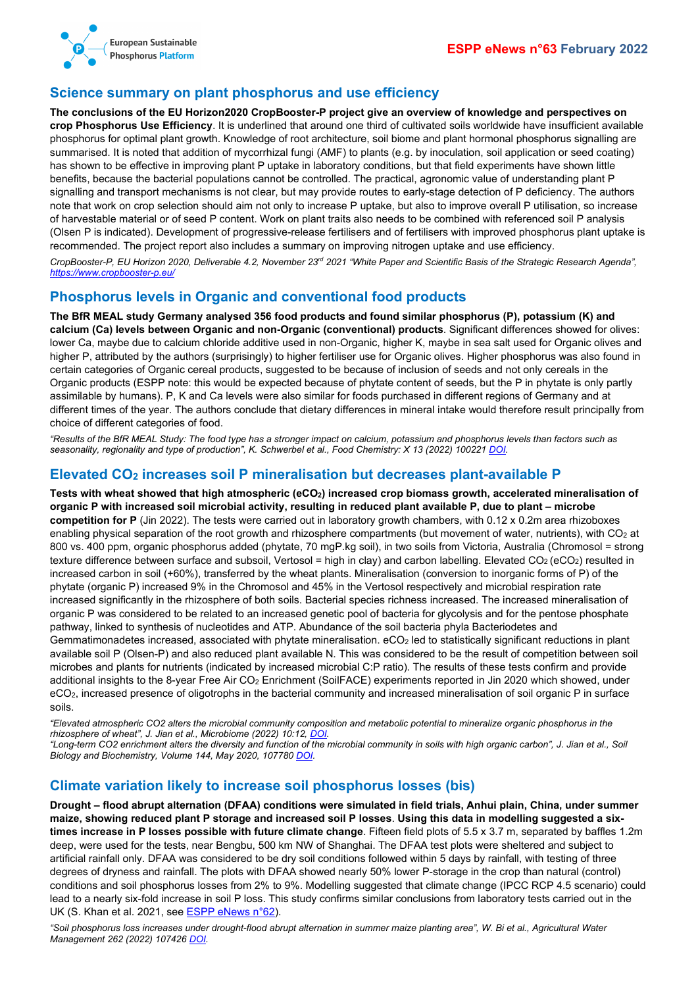

#### <span id="page-5-0"></span>**Science summary on plant phosphorus and use efficiency**

**The conclusions of the EU Horizon2020 CropBooster-P project give an overview of knowledge and perspectives on crop Phosphorus Use Efficiency**. It is underlined that around one third of cultivated soils worldwide have insufficient available phosphorus for optimal plant growth. Knowledge of root architecture, soil biome and plant hormonal phosphorus signalling are summarised. It is noted that addition of mycorrhizal fungi (AMF) to plants (e.g. by inoculation, soil application or seed coating) has shown to be effective in improving plant P uptake in laboratory conditions, but that field experiments have shown little benefits, because the bacterial populations cannot be controlled. The practical, agronomic value of understanding plant P signalling and transport mechanisms is not clear, but may provide routes to early-stage detection of P deficiency. The authors note that work on crop selection should aim not only to increase P uptake, but also to improve overall P utilisation, so increase of harvestable material or of seed P content. Work on plant traits also needs to be combined with referenced soil P analysis (Olsen P is indicated). Development of progressive-release fertilisers and of fertilisers with improved phosphorus plant uptake is recommended. The project report also includes a summary on improving nitrogen uptake and use efficiency.

*CropBooster-P, EU Horizon 2020, Deliverable 4.2, November 23rd 2021 "White Paper and Scientific Basis of the Strategic Research Agenda", <https://www.cropbooster-p.eu/>*

#### <span id="page-5-1"></span>**Phosphorus levels in Organic and conventional food products**

**The BfR MEAL study Germany analysed 356 food products and found similar phosphorus (P), potassium (K) and calcium (Ca) levels between Organic and non-Organic (conventional) products**. Significant differences showed for olives: lower Ca, maybe due to calcium chloride additive used in non-Organic, higher K, maybe in sea salt used for Organic olives and higher P, attributed by the authors (surprisingly) to higher fertiliser use for Organic olives. Higher phosphorus was also found in certain categories of Organic cereal products, suggested to be because of inclusion of seeds and not only cereals in the Organic products (ESPP note: this would be expected because of phytate content of seeds, but the P in phytate is only partly assimilable by humans). P, K and Ca levels were also similar for foods purchased in different regions of Germany and at different times of the year. The authors conclude that dietary differences in mineral intake would therefore result principally from choice of different categories of food.

*"Results of the BfR MEAL Study: The food type has a stronger impact on calcium, potassium and phosphorus levels than factors such as seasonality, regionality and type of production", K. Schwerbel et al., Food Chemistry: X 13 (2022) 100221 [DOI.](https://doi.org/10.1016/j.fochx.2022.100221)*

#### <span id="page-5-2"></span>**Elevated CO2 increases soil P mineralisation but decreases plant-available P**

**Tests with wheat showed that high atmospheric (eCO2) increased crop biomass growth, accelerated mineralisation of organic P with increased soil microbial activity, resulting in reduced plant available P, due to plant – microbe competition for P** (Jin 2022). The tests were carried out in laboratory growth chambers, with 0.12 x 0.2m area rhizoboxes enabling physical separation of the root growth and rhizosphere compartments (but movement of water, nutrients), with CO<sub>2</sub> at 800 vs. 400 ppm, organic phosphorus added (phytate, 70 mgP.kg soil), in two soils from Victoria, Australia (Chromosol = strong texture difference between surface and subsoil, Vertosol = high in clay) and carbon labelling. Elevated  $CO<sub>2</sub>$  (eCO<sub>2</sub>) resulted in increased carbon in soil (+60%), transferred by the wheat plants. Mineralisation (conversion to inorganic forms of P) of the phytate (organic P) increased 9% in the Chromosol and 45% in the Vertosol respectively and microbial respiration rate increased significantly in the rhizosphere of both soils. Bacterial species richness increased. The increased mineralisation of organic P was considered to be related to an increased genetic pool of bacteria for glycolysis and for the pentose phosphate pathway, linked to synthesis of nucleotides and ATP. Abundance of the soil bacteria phyla Bacteriodetes and Gemmatimonadetes increased, associated with phytate mineralisation.  $eCO<sub>2</sub>$  led to statistically significant reductions in plant available soil P (Olsen-P) and also reduced plant available N. This was considered to be the result of competition between soil microbes and plants for nutrients (indicated by increased microbial C:P ratio). The results of these tests confirm and provide additional insights to the 8-year Free Air CO<sub>2</sub> Enrichment (SoilFACE) experiments reported in Jin 2020 which showed, under eCO2, increased presence of oligotrophs in the bacterial community and increased mineralisation of soil organic P in surface soils.

*"Elevated atmospheric CO2 alters the microbial community composition and metabolic potential to mineralize organic phosphorus in the rhizosphere of wheat", J. Jian et al., Microbiome (2022) 10:12[, DOI.](https://doi.org/10.1186/s40168-021-01203-w)*

*"Long-term CO2 enrichment alters the diversity and function of the microbial community in soils with high organic carbon", J. Jian et al., Soil Biology and Biochemistry, Volume 144, May 2020, 10778[0 DOI.](https://doi.org/10.1016/j.soilbio.2020.107780)*

#### <span id="page-5-3"></span>**Climate variation likely to increase soil phosphorus losses (bis)**

**Drought – flood abrupt alternation (DFAA) conditions were simulated in field trials, Anhui plain, China, under summer maize, showing reduced plant P storage and increased soil P losses**. **Using this data in modelling suggested a sixtimes increase in P losses possible with future climate change**. Fifteen field plots of 5.5 x 3.7 m, separated by baffles 1.2m deep, were used for the tests, near Bengbu, 500 km NW of Shanghai. The DFAA test plots were sheltered and subject to artificial rainfall only. DFAA was considered to be dry soil conditions followed within 5 days by rainfall, with testing of three degrees of dryness and rainfall. The plots with DFAA showed nearly 50% lower P-storage in the crop than natural (control) conditions and soil phosphorus losses from 2% to 9%. Modelling suggested that climate change (IPCC RCP 4.5 scenario) could lead to a nearly six-fold increase in soil P loss. This study confirms similar conclusions from laboratory tests carried out in the UK (S. Khan et al. 2021, see [ESPP eNews n°62\)](http://www.phosphorusplatform.eu/eNews062).

*"Soil phosphorus loss increases under drought-flood abrupt alternation in summer maize planting area", W. Bi et al., Agricultural Water Management 262 (2022) 107426 [DOI.](https://doi.org/10.1016/j.agwat.2021.107426)*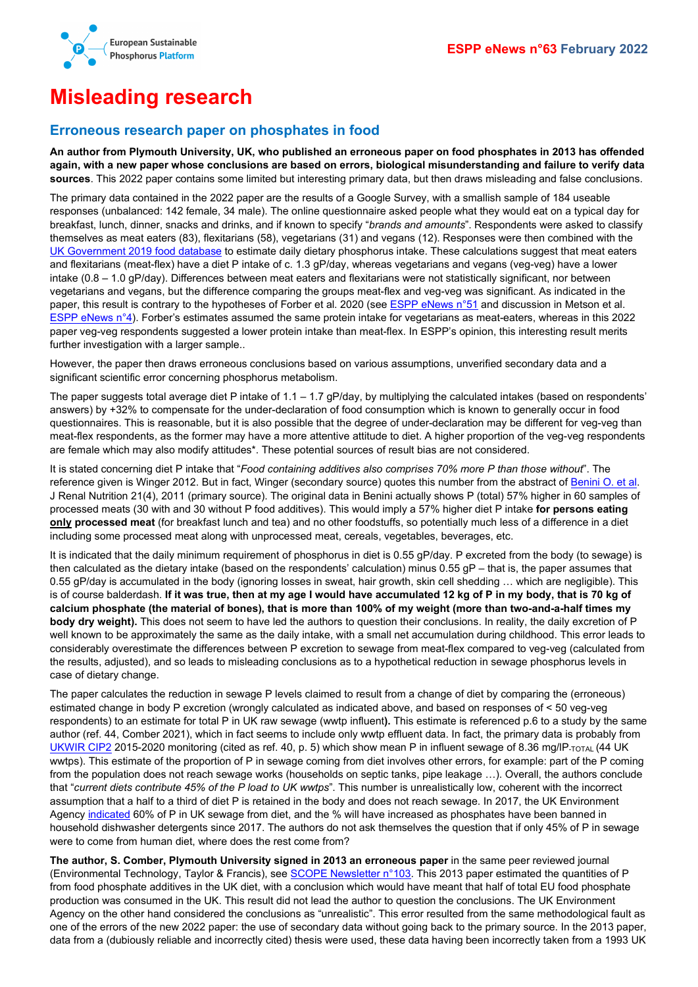

# <span id="page-6-0"></span>**Misleading research**

#### <span id="page-6-1"></span>**Erroneous research paper on phosphates in food**

**An author from Plymouth University, UK, who published an erroneous paper on food phosphates in 2013 has offended again, with a new paper whose conclusions are based on errors, biological misunderstanding and failure to verify data sources**. This 2022 paper contains some limited but interesting primary data, but then draws misleading and false conclusions.

The primary data contained in the 2022 paper are the results of a Google Survey, with a smallish sample of 184 useable responses (unbalanced: 142 female, 34 male). The online questionnaire asked people what they would eat on a typical day for breakfast, lunch, dinner, snacks and drinks, and if known to specify "*brands and amounts*". Respondents were asked to classify themselves as meat eaters (83), flexitarians (58), vegetarians (31) and vegans (12). Responses were then combined with the [UK Government 2019 food database](https://www.gov.uk/government/publications/composition-of-foods-integrated-dataset-cofid) to estimate daily dietary phosphorus intake. These calculations suggest that meat eaters and flexitarians (meat-flex) have a diet P intake of c. 1.3 gP/day, whereas vegetarians and vegans (veg-veg) have a lower intake  $(0.8 - 1.0 gP/day)$ . Differences between meat eaters and flexitarians were not statistically significant, nor between vegetarians and vegans, but the difference comparing the groups meat-flex and veg-veg was significant. As indicated in the paper, this result is contrary to the hypotheses of Forber et al. 2020 (see **ESPP eNews n°51** and discussion in Metson et al. [ESPP eNews n°4\)](http://www.phosphorusplatform.eu/eNews004). Forber's estimates assumed the same protein intake for vegetarians as meat-eaters, whereas in this 2022 paper veg-veg respondents suggested a lower protein intake than meat-flex. In ESPP's opinion, this interesting result merits further investigation with a larger sample..

However, the paper then draws erroneous conclusions based on various assumptions, unverified secondary data and a significant scientific error concerning phosphorus metabolism.

The paper suggests total average diet P intake of  $1.1 - 1.7$  gP/day, by multiplying the calculated intakes (based on respondents' answers) by +32% to compensate for the under-declaration of food consumption which is known to generally occur in food questionnaires. This is reasonable, but it is also possible that the degree of under-declaration may be different for veg-veg than meat-flex respondents, as the former may have a more attentive attitude to diet. A higher proportion of the veg-veg respondents are female which may also modify attitudes\*. These potential sources of result bias are not considered.

It is stated concerning diet P intake that "*Food containing additives also comprises 70% more P than those without*". The reference given is Winger 2012. But in fact, Winger (secondary source) quotes this number from the abstract of Benini O. et al. J Renal Nutrition 21(4), 2011 (primary source). The original data in Benini actually shows P (total) 57% higher in 60 samples of processed meats (30 with and 30 without P food additives). This would imply a 57% higher diet P intake **for persons eating only processed meat** (for breakfast lunch and tea) and no other foodstuffs, so potentially much less of a difference in a diet including some processed meat along with unprocessed meat, cereals, vegetables, beverages, etc.

It is indicated that the daily minimum requirement of phosphorus in diet is 0.55 gP/day. P excreted from the body (to sewage) is then calculated as the dietary intake (based on the respondents' calculation) minus  $0.55$  gP – that is, the paper assumes that 0.55 gP/day is accumulated in the body (ignoring losses in sweat, hair growth, skin cell shedding … which are negligible). This is of course balderdash. **If it was true, then at my age I would have accumulated 12 kg of P in my body, that is 70 kg of calcium phosphate (the material of bones), that is more than 100% of my weight (more than two-and-a-half times my body dry weight).** This does not seem to have led the authors to question their conclusions. In reality, the daily excretion of P well known to be approximately the same as the daily intake, with a small net accumulation during childhood. This error leads to considerably overestimate the differences between P excretion to sewage from meat-flex compared to veg-veg (calculated from the results, adjusted), and so leads to misleading conclusions as to a hypothetical reduction in sewage phosphorus levels in case of dietary change.

The paper calculates the reduction in sewage P levels claimed to result from a change of diet by comparing the (erroneous) estimated change in body P excretion (wrongly calculated as indicated above, and based on responses of < 50 veg-veg respondents) to an estimate for total P in UK raw sewage (wwtp influent**).** This estimate is referenced p.6 to a study by the same author (ref. 44, Comber 2021), which in fact seems to include only wwtp effluent data. In fact, the primary data is probably from [UKWIR CIP2](https://ukwir.org/logistical-support-and-co-ordination-of-the-delivery-phase-of-the-national-chemical-investigations-programme-2015-2020-1) 2015-2020 monitoring (cited as ref. 40, p. 5) which show mean P in influent sewage of 8.36 mg/IP-TOTAL (44 UK wwtps). This estimate of the proportion of P in sewage coming from diet involves other errors, for example: part of the P coming from the population does not reach sewage works (households on septic tanks, pipe leakage …). Overall, the authors conclude that "*current diets contribute 45% of the P load to UK wwtps*". This number is unrealistically low, coherent with the incorrect assumption that a half to a third of diet P is retained in the body and does not reach sewage. In 2017, the UK Environment Agency [indicated](http://www.phosphorusplatform.eu/Scope124) 60% of P in UK sewage from diet, and the % will have increased as phosphates have been banned in household dishwasher detergents since 2017. The authors do not ask themselves the question that if only 45% of P in sewage were to come from human diet, where does the rest come from?

**The author, S. Comber, Plymouth University signed in 2013 an erroneous paper** in the same peer reviewed journal (Environmental Technology, Taylor & Francis), se[e SCOPE Newsletter n°103.](http://www.phosphorusplatform.eu/Scope103) This 2013 paper estimated the quantities of P from food phosphate additives in the UK diet, with a conclusion which would have meant that half of total EU food phosphate production was consumed in the UK. This result did not lead the author to question the conclusions. The UK Environment Agency on the other hand considered the conclusions as "unrealistic". This error resulted from the same methodological fault as one of the errors of the new 2022 paper: the use of secondary data without going back to the primary source. In the 2013 paper, data from a (dubiously reliable and incorrectly cited) thesis were used, these data having been incorrectly taken from a 1993 UK